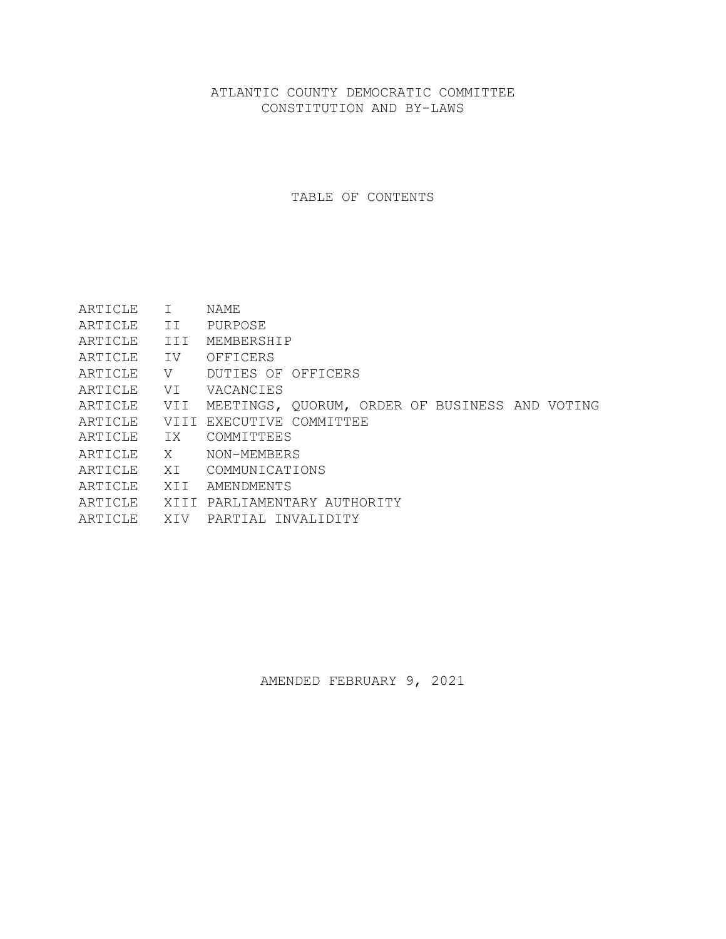# ATLANTIC COUNTY DEMOCRATIC COMMITTEE CONSTITUTION AND BY-LAWS

TABLE OF CONTENTS

| ARTICLE        | $\top$ | NAME.                                          |
|----------------|--------|------------------------------------------------|
| ARTICLE        | II.    | PURPOSE                                        |
| ARTICLE        | III    | MEMBERSHIP                                     |
| ARTICLE        | IV     | OFFICERS                                       |
| ARTICLE        | V      | DUTIES OF OFFICERS                             |
| ARTICLE        | VI     | VACANCIES                                      |
| ARTICLE        | VII    | MEETINGS, QUORUM, ORDER OF BUSINESS AND VOTING |
| ARTICLE        |        | VIII EXECUTIVE COMMITTEE                       |
| ARTICLE        | IX     | COMMITTEES                                     |
| ARTICLE        | X      | NON-MEMBERS                                    |
| ARTICLE        | XT.    | COMMUNICATIONS                                 |
| <b>ARTICLE</b> | XTT    | AMENDMENTS                                     |
| ARTICLE        |        | XIII PARLIAMENTARY AUTHORITY                   |
| ARTICLE        | XIV    | PARTIAL INVALIDITY                             |

AMENDED FEBRUARY 9, 2021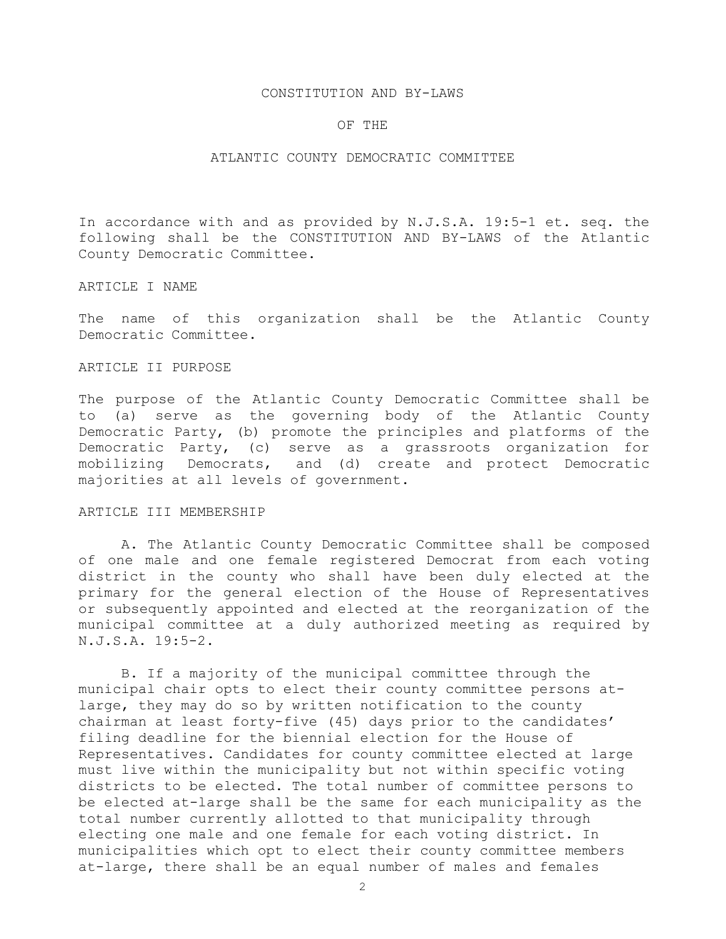#### CONSTITUTION AND BY-LAWS

#### OF THE

### ATLANTIC COUNTY DEMOCRATIC COMMITTEE

In accordance with and as provided by N.J.S.A. 19:5-1 et. seq. the following shall be the CONSTITUTION AND BY-LAWS of the Atlantic County Democratic Committee.

### ARTICLE I NAME

The name of this organization shall be the Atlantic County Democratic Committee.

### ARTICLE II PURPOSE

The purpose of the Atlantic County Democratic Committee shall be to (a) serve as the governing body of the Atlantic County Democratic Party, (b) promote the principles and platforms of the Democratic Party, (c) serve as a grassroots organization for mobilizing Democrats, and (d) create and protect Democratic majorities at all levels of government.

## ARTICLE III MEMBERSHIP

A. The Atlantic County Democratic Committee shall be composed of one male and one female registered Democrat from each voting district in the county who shall have been duly elected at the primary for the general election of the House of Representatives or subsequently appointed and elected at the reorganization of the municipal committee at a duly authorized meeting as required by N.J.S.A. 19:5-2.

B. If a majority of the municipal committee through the municipal chair opts to elect their county committee persons atlarge, they may do so by written notification to the county chairman at least forty-five (45) days prior to the candidates' filing deadline for the biennial election for the House of Representatives. Candidates for county committee elected at large must live within the municipality but not within specific voting districts to be elected. The total number of committee persons to be elected at-large shall be the same for each municipality as the total number currently allotted to that municipality through electing one male and one female for each voting district. In municipalities which opt to elect their county committee members at-large, there shall be an equal number of males and females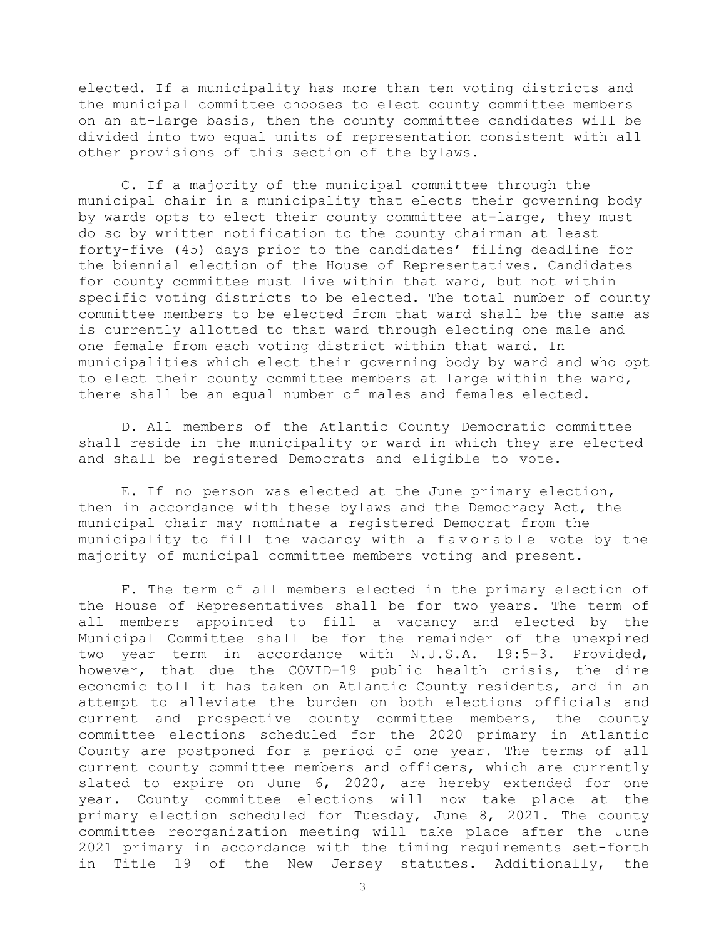elected. If a municipality has more than ten voting districts and the municipal committee chooses to elect county committee members on an at-large basis, then the county committee candidates will be divided into two equal units of representation consistent with all other provisions of this section of the bylaws.

C. If a majority of the municipal committee through the municipal chair in a municipality that elects their governing body by wards opts to elect their county committee at-large, they must do so by written notification to the county chairman at least forty-five (45) days prior to the candidates' filing deadline for the biennial election of the House of Representatives. Candidates for county committee must live within that ward, but not within specific voting districts to be elected. The total number of county committee members to be elected from that ward shall be the same as is currently allotted to that ward through electing one male and one female from each voting district within that ward. In municipalities which elect their governing body by ward and who opt to elect their county committee members at large within the ward, there shall be an equal number of males and females elected.

D. All members of the Atlantic County Democratic committee shall reside in the municipality or ward in which they are elected and shall be registered Democrats and eligible to vote.

E. If no person was elected at the June primary election, then in accordance with these bylaws and the Democracy Act, the municipal chair may nominate a registered Democrat from the municipality to fill the vacancy with a favorable vote by the majority of municipal committee members voting and present.

F. The term of all members elected in the primary election of the House of Representatives shall be for two years. The term of all members appointed to fill a vacancy and elected by the Municipal Committee shall be for the remainder of the unexpired two year term in accordance with N.J.S.A. 19:5-3. Provided, however, that due the COVID-19 public health crisis, the dire economic toll it has taken on Atlantic County residents, and in an attempt to alleviate the burden on both elections officials and current and prospective county committee members, the county committee elections scheduled for the 2020 primary in Atlantic County are postponed for a period of one year. The terms of all current county committee members and officers, which are currently slated to expire on June 6, 2020, are hereby extended for one year. County committee elections will now take place at the primary election scheduled for Tuesday, June 8, 2021. The county committee reorganization meeting will take place after the June 2021 primary in accordance with the timing requirements set-forth in Title 19 of the New Jersey statutes. Additionally, the

3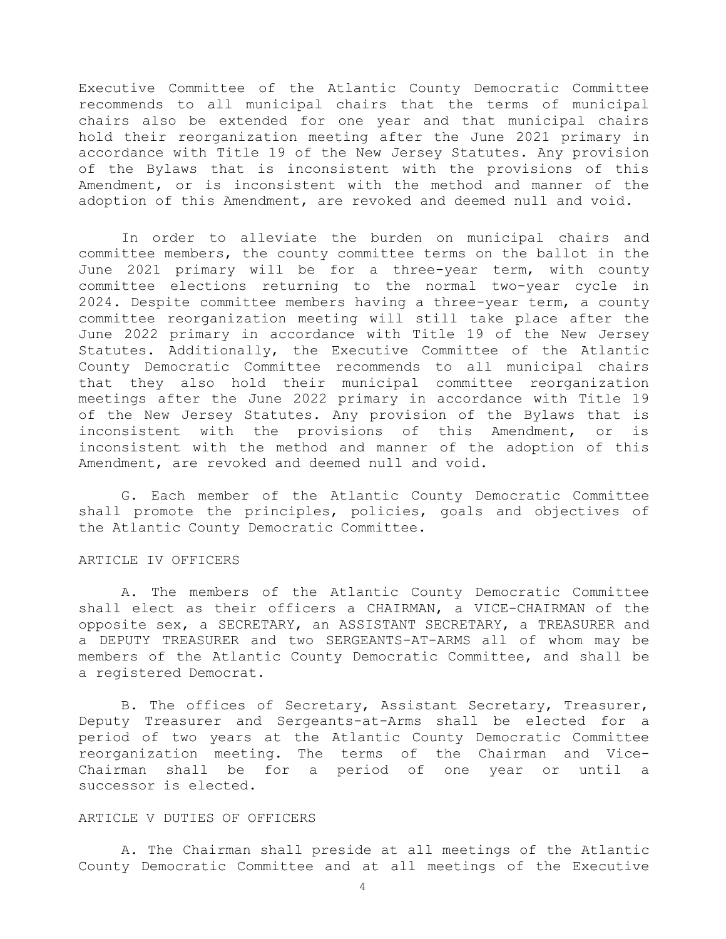Executive Committee of the Atlantic County Democratic Committee recommends to all municipal chairs that the terms of municipal chairs also be extended for one year and that municipal chairs hold their reorganization meeting after the June 2021 primary in accordance with Title 19 of the New Jersey Statutes. Any provision of the Bylaws that is inconsistent with the provisions of this Amendment, or is inconsistent with the method and manner of the adoption of this Amendment, are revoked and deemed null and void.

In order to alleviate the burden on municipal chairs and committee members, the county committee terms on the ballot in the June 2021 primary will be for a three-year term, with county committee elections returning to the normal two-year cycle in 2024. Despite committee members having a three-year term, a county committee reorganization meeting will still take place after the June 2022 primary in accordance with Title 19 of the New Jersey Statutes. Additionally, the Executive Committee of the Atlantic County Democratic Committee recommends to all municipal chairs that they also hold their municipal committee reorganization meetings after the June 2022 primary in accordance with Title 19 of the New Jersey Statutes. Any provision of the Bylaws that is inconsistent with the provisions of this Amendment, or is inconsistent with the method and manner of the adoption of this Amendment, are revoked and deemed null and void.

G. Each member of the Atlantic County Democratic Committee shall promote the principles, policies, goals and objectives of the Atlantic County Democratic Committee.

#### ARTICLE IV OFFICERS

A. The members of the Atlantic County Democratic Committee shall elect as their officers a CHAIRMAN, a VICE-CHAIRMAN of the opposite sex, a SECRETARY, an ASSISTANT SECRETARY, a TREASURER and a DEPUTY TREASURER and two SERGEANTS-AT-ARMS all of whom may be members of the Atlantic County Democratic Committee, and shall be a registered Democrat.

B. The offices of Secretary, Assistant Secretary, Treasurer, Deputy Treasurer and Sergeants-at-Arms shall be elected for a period of two years at the Atlantic County Democratic Committee reorganization meeting. The terms of the Chairman and Vice-Chairman shall be for a period of one year or until a successor is elected.

# ARTICLE V DUTIES OF OFFICERS

A. The Chairman shall preside at all meetings of the Atlantic County Democratic Committee and at all meetings of the Executive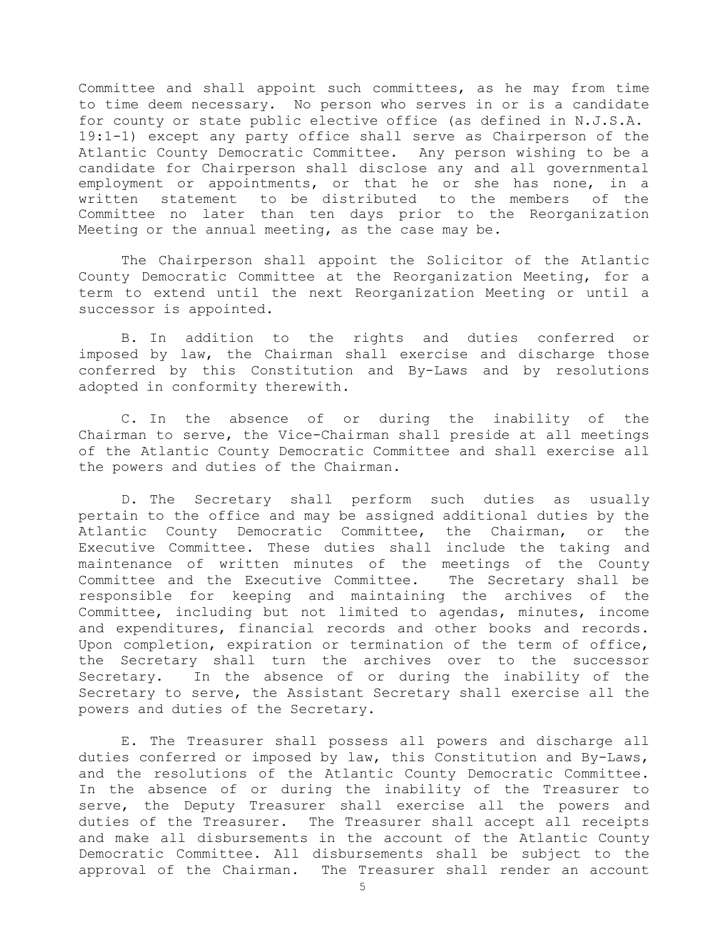Committee and shall appoint such committees, as he may from time to time deem necessary. No person who serves in or is a candidate for county or state public elective office (as defined in N.J.S.A. 19:1-1) except any party office shall serve as Chairperson of the Atlantic County Democratic Committee. Any person wishing to be a candidate for Chairperson shall disclose any and all governmental employment or appointments, or that he or she has none, in a written statement to be distributed to the members of the Committee no later than ten days prior to the Reorganization Meeting or the annual meeting, as the case may be.

The Chairperson shall appoint the Solicitor of the Atlantic County Democratic Committee at the Reorganization Meeting, for a term to extend until the next Reorganization Meeting or until a successor is appointed.

B. In addition to the rights and duties conferred or imposed by law, the Chairman shall exercise and discharge those conferred by this Constitution and By-Laws and by resolutions adopted in conformity therewith.

C. In the absence of or during the inability of the Chairman to serve, the Vice-Chairman shall preside at all meetings of the Atlantic County Democratic Committee and shall exercise all the powers and duties of the Chairman.

D. The Secretary shall perform such duties as usually pertain to the office and may be assigned additional duties by the Atlantic County Democratic Committee, the Chairman, or the Executive Committee. These duties shall include the taking and maintenance of written minutes of the meetings of the County Committee and the Executive Committee. The Secretary shall be responsible for keeping and maintaining the archives of the Committee, including but not limited to agendas, minutes, income and expenditures, financial records and other books and records. Upon completion, expiration or termination of the term of office, the Secretary shall turn the archives over to the successor Secretary. In the absence of or during the inability of the Secretary to serve, the Assistant Secretary shall exercise all the powers and duties of the Secretary.

E. The Treasurer shall possess all powers and discharge all duties conferred or imposed by law, this Constitution and By-Laws, and the resolutions of the Atlantic County Democratic Committee. In the absence of or during the inability of the Treasurer to serve, the Deputy Treasurer shall exercise all the powers and duties of the Treasurer. The Treasurer shall accept all receipts and make all disbursements in the account of the Atlantic County Democratic Committee. All disbursements shall be subject to the approval of the Chairman. The Treasurer shall render an account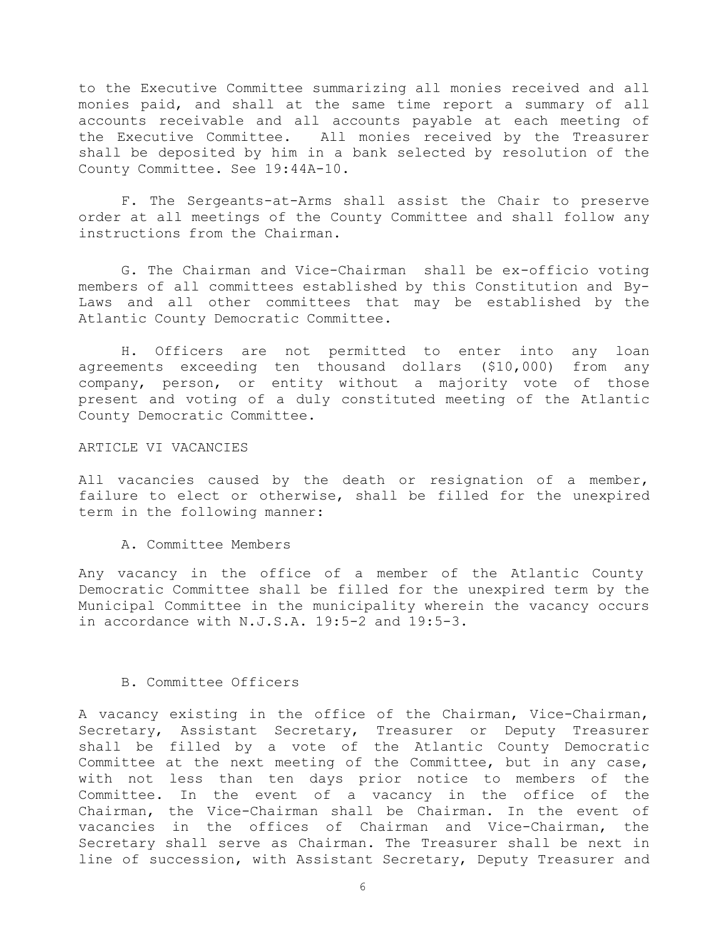to the Executive Committee summarizing all monies received and all monies paid, and shall at the same time report a summary of all accounts receivable and all accounts payable at each meeting of the Executive Committee. All monies received by the Treasurer shall be deposited by him in a bank selected by resolution of the County Committee. See 19:44A-10.

F. The Sergeants-at-Arms shall assist the Chair to preserve order at all meetings of the County Committee and shall follow any instructions from the Chairman.

G. The Chairman and Vice-Chairman shall be ex-officio voting members of all committees established by this Constitution and By-Laws and all other committees that may be established by the Atlantic County Democratic Committee.

H. Officers are not permitted to enter into any loan agreements exceeding ten thousand dollars (\$10,000) from any company, person, or entity without a majority vote of those present and voting of a duly constituted meeting of the Atlantic County Democratic Committee.

### ARTICLE VI VACANCIES

All vacancies caused by the death or resignation of a member, failure to elect or otherwise, shall be filled for the unexpired term in the following manner:

### A. Committee Members

Any vacancy in the office of a member of the Atlantic County Democratic Committee shall be filled for the unexpired term by the Municipal Committee in the municipality wherein the vacancy occurs in accordance with N.J.S.A. 19:5-2 and 19:5-3.

### B. Committee Officers

A vacancy existing in the office of the Chairman, Vice-Chairman, Secretary, Assistant Secretary, Treasurer or Deputy Treasurer shall be filled by a vote of the Atlantic County Democratic Committee at the next meeting of the Committee, but in any case, with not less than ten days prior notice to members of the Committee. In the event of a vacancy in the office of the Chairman, the Vice-Chairman shall be Chairman. In the event of vacancies in the offices of Chairman and Vice-Chairman, the Secretary shall serve as Chairman. The Treasurer shall be next in line of succession, with Assistant Secretary, Deputy Treasurer and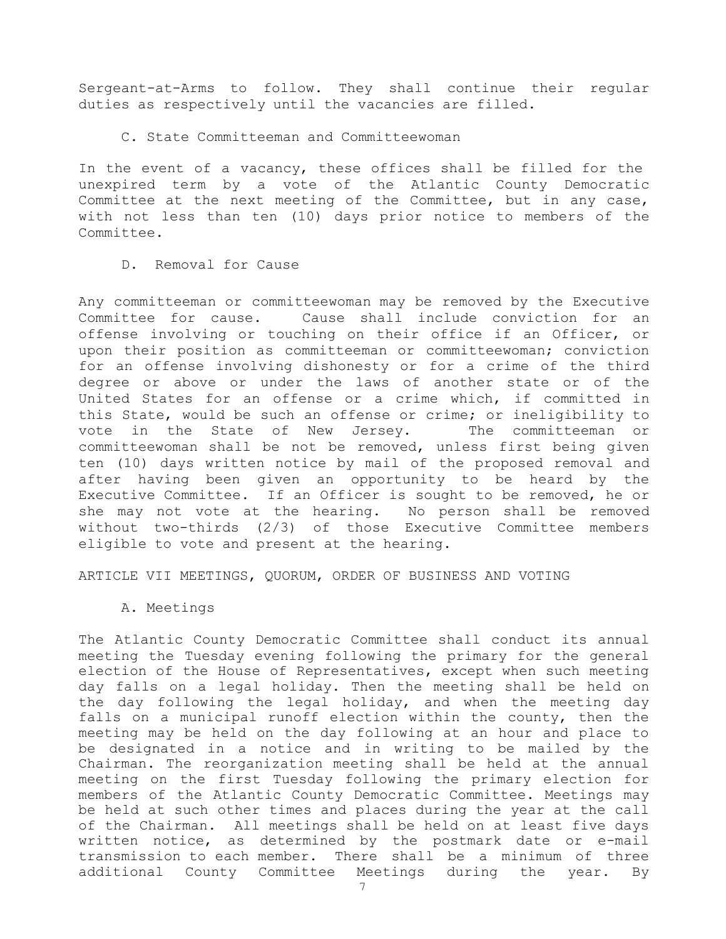Sergeant-at-Arms to follow. They shall continue their regular duties as respectively until the vacancies are filled.

C. State Committeeman and Committeewoman

In the event of a vacancy, these offices shall be filled for the unexpired term by a vote of the Atlantic County Democratic Committee at the next meeting of the Committee, but in any case, with not less than ten (10) days prior notice to members of the Committee.

D. Removal for Cause

Any committeeman or committeewoman may be removed by the Executive Committee for cause. Cause shall include conviction for an offense involving or touching on their office if an Officer, or upon their position as committeeman or committeewoman; conviction for an offense involving dishonesty or for a crime of the third degree or above or under the laws of another state or of the United States for an offense or a crime which, if committed in this State, would be such an offense or crime; or ineligibility to vote in the State of New Jersey. The committeeman or committeewoman shall be not be removed, unless first being given ten (10) days written notice by mail of the proposed removal and after having been given an opportunity to be heard by the Executive Committee. If an Officer is sought to be removed, he or she may not vote at the hearing. No person shall be removed without two-thirds (2/3) of those Executive Committee members eligible to vote and present at the hearing.

ARTICLE VII MEETINGS, QUORUM, ORDER OF BUSINESS AND VOTING

A. Meetings

The Atlantic County Democratic Committee shall conduct its annual meeting the Tuesday evening following the primary for the general election of the House of Representatives, except when such meeting day falls on a legal holiday. Then the meeting shall be held on the day following the legal holiday, and when the meeting day falls on a municipal runoff election within the county, then the meeting may be held on the day following at an hour and place to be designated in a notice and in writing to be mailed by the Chairman. The reorganization meeting shall be held at the annual meeting on the first Tuesday following the primary election for members of the Atlantic County Democratic Committee. Meetings may be held at such other times and places during the year at the call of the Chairman. All meetings shall be held on at least five days written notice, as determined by the postmark date or e-mail transmission to each member. There shall be a minimum of three additional County Committee Meetings during the year. By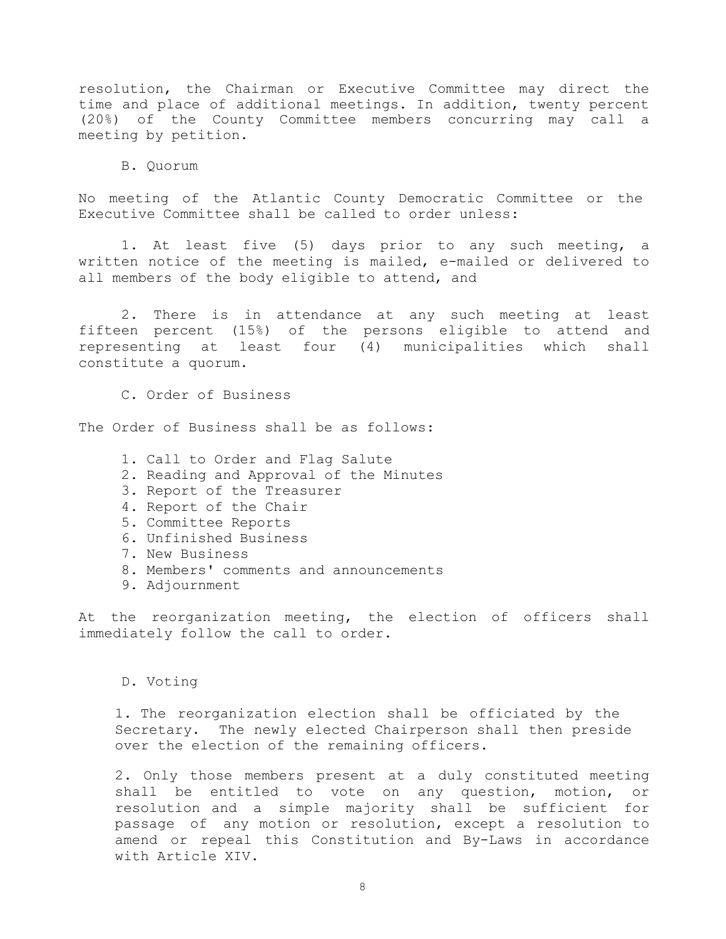resolution, the Chairman or Executive Committee may direct the time and place of additional meetings. In addition, twenty percent (20%) of the County Committee members concurring may call a meeting by petition.

B. Quorum

No meeting of the Atlantic County Democratic Committee or the Executive Committee shall be called to order unless:

1. At least five (5) days prior to any such meeting, a written notice of the meeting is mailed, e-mailed or delivered to all members of the body eligible to attend, and

2. There is in attendance at any such meeting at least fifteen percent (15%) of the persons eligible to attend and representing at least four (4) municipalities which shall constitute a quorum.

C. Order of Business

The Order of Business shall be as follows:

- 1. Call to Order and Flag Salute
- 2. Reading and Approval of the Minutes
- 3. Report of the Treasurer
- 4. Report of the Chair
- 5. Committee Reports
- 6. Unfinished Business
- 7. New Business
- 8. Members' comments and announcements
- 9. Adjournment

At the reorganization meeting, the election of officers shall immediately follow the call to order.

D. Voting

1. The reorganization election shall be officiated by the Secretary. The newly elected Chairperson shall then preside over the election of the remaining officers.

2. Only those members present at a duly constituted meeting shall be entitled to vote on any question, motion, or resolution and a simple majority shall be sufficient for passage of any motion or resolution, except a resolution to amend or repeal this Constitution and By-Laws in accordance with Article XIV.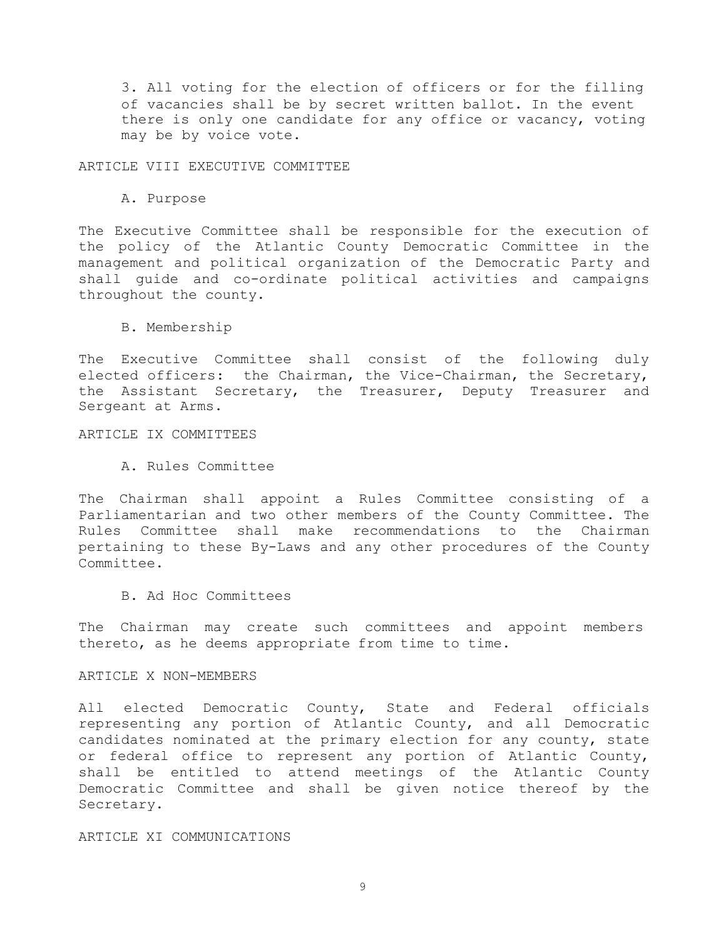3. All voting for the election of officers or for the filling of vacancies shall be by secret written ballot. In the event there is only one candidate for any office or vacancy, voting may be by voice vote.

ARTICLE VIII EXECUTIVE COMMITTEE

A. Purpose

The Executive Committee shall be responsible for the execution of the policy of the Atlantic County Democratic Committee in the management and political organization of the Democratic Party and shall guide and co-ordinate political activities and campaigns throughout the county.

B. Membership

The Executive Committee shall consist of the following duly elected officers: the Chairman, the Vice-Chairman, the Secretary, the Assistant Secretary, the Treasurer, Deputy Treasurer and Sergeant at Arms.

ARTICLE IX COMMITTEES

A. Rules Committee

The Chairman shall appoint a Rules Committee consisting of a Parliamentarian and two other members of the County Committee. The Rules Committee shall make recommendations to the Chairman pertaining to these By-Laws and any other procedures of the County Committee.

B. Ad Hoc Committees

The Chairman may create such committees and appoint members thereto, as he deems appropriate from time to time.

ARTICLE X NON-MEMBERS

All elected Democratic County, State and Federal officials representing any portion of Atlantic County, and all Democratic candidates nominated at the primary election for any county, state or federal office to represent any portion of Atlantic County, shall be entitled to attend meetings of the Atlantic County Democratic Committee and shall be given notice thereof by the Secretary.

ARTICLE XI COMMUNICATIONS

9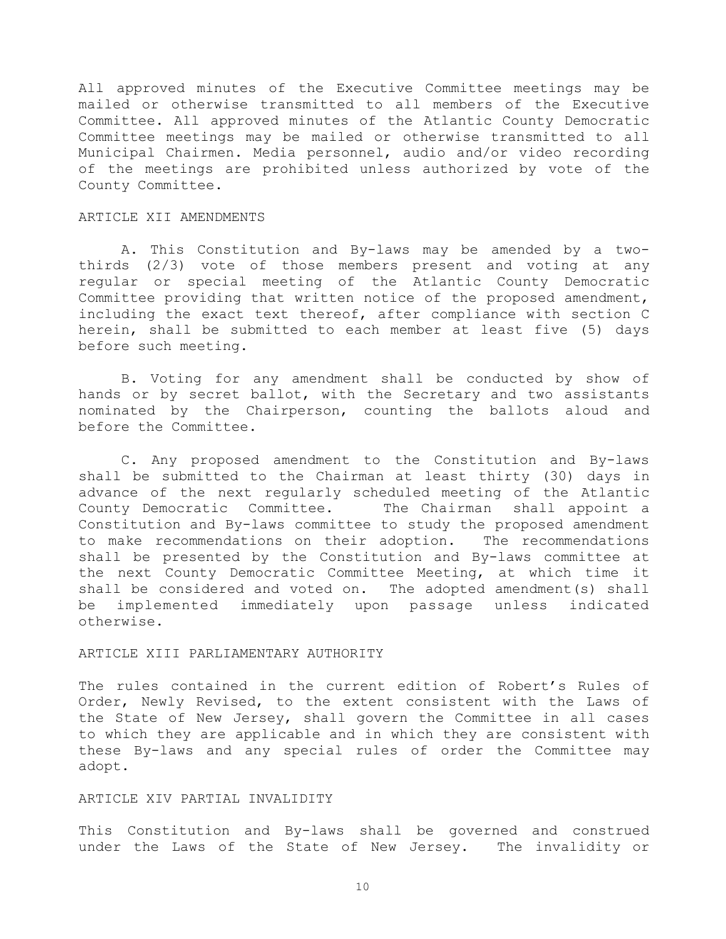All approved minutes of the Executive Committee meetings may be mailed or otherwise transmitted to all members of the Executive Committee. All approved minutes of the Atlantic County Democratic Committee meetings may be mailed or otherwise transmitted to all Municipal Chairmen. Media personnel, audio and/or video recording of the meetings are prohibited unless authorized by vote of the County Committee.

### ARTICLE XII AMENDMENTS

A. This Constitution and By-laws may be amended by a twothirds (2/3) vote of those members present and voting at any regular or special meeting of the Atlantic County Democratic Committee providing that written notice of the proposed amendment, including the exact text thereof, after compliance with section C herein, shall be submitted to each member at least five (5) days before such meeting.

B. Voting for any amendment shall be conducted by show of hands or by secret ballot, with the Secretary and two assistants nominated by the Chairperson, counting the ballots aloud and before the Committee.

C. Any proposed amendment to the Constitution and By-laws shall be submitted to the Chairman at least thirty (30) days in advance of the next regularly scheduled meeting of the Atlantic County Democratic Committee. The Chairman shall appoint a Constitution and By-laws committee to study the proposed amendment to make recommendations on their adoption. The recommendations shall be presented by the Constitution and By-laws committee at the next County Democratic Committee Meeting, at which time it shall be considered and voted on. The adopted amendment(s) shall be implemented immediately upon passage unless indicated otherwise.

# ARTICLE XIII PARLIAMENTARY AUTHORITY

The rules contained in the current edition of Robert's Rules of Order, Newly Revised, to the extent consistent with the Laws of the State of New Jersey, shall govern the Committee in all cases to which they are applicable and in which they are consistent with these By-laws and any special rules of order the Committee may adopt.

## ARTICLE XIV PARTIAL INVALIDITY

This Constitution and By-laws shall be governed and construed under the Laws of the State of New Jersey. The invalidity or